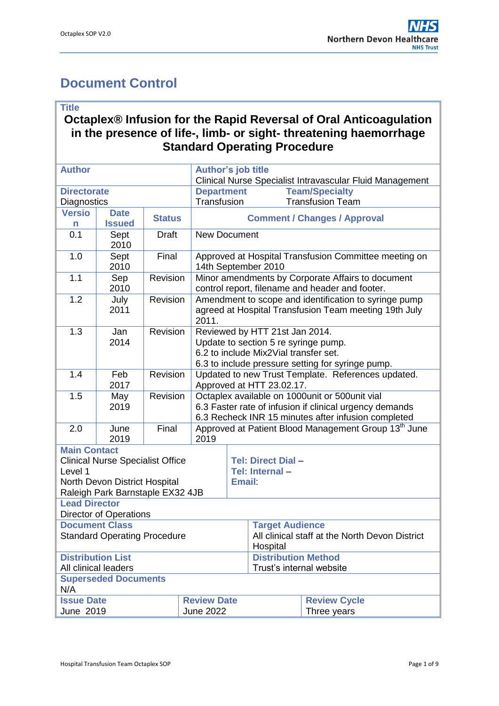# <span id="page-0-0"></span>**Document Control**

#### **Title**

#### **Octaplex® Infusion for the Rapid Reversal of Oral Anticoagulation in the presence of life-, limb- or sight- threatening haemorrhage Standard Operating Procedure**

| <b>Author</b>                                                     |                                                                   |               |                                                                        |                                                                                |                        |                                                     |  |  |
|-------------------------------------------------------------------|-------------------------------------------------------------------|---------------|------------------------------------------------------------------------|--------------------------------------------------------------------------------|------------------------|-----------------------------------------------------|--|--|
|                                                                   |                                                                   |               |                                                                        | Author's job title<br>Clinical Nurse Specialist Intravascular Fluid Management |                        |                                                     |  |  |
| <b>Directorate</b>                                                |                                                                   |               |                                                                        | <b>Team/Specialty</b><br><b>Department</b>                                     |                        |                                                     |  |  |
| Diagnostics                                                       |                                                                   |               |                                                                        | Transfusion<br><b>Transfusion Team</b>                                         |                        |                                                     |  |  |
| <b>Versio</b><br><b>Date</b>                                      |                                                                   |               |                                                                        |                                                                                |                        |                                                     |  |  |
| n                                                                 | <b>Issued</b>                                                     | <b>Status</b> | <b>Comment / Changes / Approval</b>                                    |                                                                                |                        |                                                     |  |  |
| 0.1                                                               | Sept                                                              | <b>Draft</b>  |                                                                        | <b>New Document</b>                                                            |                        |                                                     |  |  |
|                                                                   | 2010                                                              |               |                                                                        |                                                                                |                        |                                                     |  |  |
| 1.0                                                               | Sept                                                              | Final         | Approved at Hospital Transfusion Committee meeting on                  |                                                                                |                        |                                                     |  |  |
|                                                                   | 2010                                                              |               |                                                                        | 14th September 2010                                                            |                        |                                                     |  |  |
| 1.1                                                               | Sep                                                               | Revision      |                                                                        | Minor amendments by Corporate Affairs to document                              |                        |                                                     |  |  |
|                                                                   | 2010                                                              |               | control report, filename and header and footer.                        |                                                                                |                        |                                                     |  |  |
| 1.2                                                               | July<br>2011                                                      | Revision      |                                                                        | Amendment to scope and identification to syringe pump                          |                        |                                                     |  |  |
|                                                                   |                                                                   |               | agreed at Hospital Transfusion Team meeting 19th July                  |                                                                                |                        |                                                     |  |  |
| 1.3                                                               |                                                                   | Revision      | 2011.                                                                  |                                                                                |                        |                                                     |  |  |
|                                                                   | Jan<br>2014                                                       |               | Reviewed by HTT 21st Jan 2014.<br>Update to section 5 re syringe pump. |                                                                                |                        |                                                     |  |  |
|                                                                   |                                                                   |               |                                                                        | 6.2 to include Mix2Vial transfer set.                                          |                        |                                                     |  |  |
|                                                                   |                                                                   |               |                                                                        | 6.3 to include pressure setting for syringe pump.                              |                        |                                                     |  |  |
| 1.4                                                               | Feb                                                               | Revision      | Updated to new Trust Template. References updated.                     |                                                                                |                        |                                                     |  |  |
|                                                                   | 2017                                                              |               |                                                                        | Approved at HTT 23.02.17.                                                      |                        |                                                     |  |  |
| 1.5                                                               | Revision<br>Octaplex available on 1000unit or 500unit vial<br>May |               |                                                                        |                                                                                |                        |                                                     |  |  |
|                                                                   | 2019                                                              |               |                                                                        | 6.3 Faster rate of infusion if clinical urgency demands                        |                        |                                                     |  |  |
|                                                                   |                                                                   |               |                                                                        |                                                                                |                        | 6.3 Recheck INR 15 minutes after infusion completed |  |  |
| 2.0                                                               | June                                                              | Final         |                                                                        | Approved at Patient Blood Management Group 13 <sup>th</sup> June               |                        |                                                     |  |  |
|                                                                   | 2019                                                              |               |                                                                        | 2019                                                                           |                        |                                                     |  |  |
| <b>Main Contact</b>                                               |                                                                   |               |                                                                        |                                                                                |                        |                                                     |  |  |
| <b>Clinical Nurse Specialist Office</b>                           |                                                                   |               |                                                                        | <b>Tel: Direct Dial -</b>                                                      |                        |                                                     |  |  |
| Level 1                                                           |                                                                   |               |                                                                        | Tel: Internal-                                                                 |                        |                                                     |  |  |
| North Devon District Hospital<br>Raleigh Park Barnstaple EX32 4JB |                                                                   |               |                                                                        | <b>Email:</b>                                                                  |                        |                                                     |  |  |
| <b>Lead Director</b>                                              |                                                                   |               |                                                                        |                                                                                |                        |                                                     |  |  |
|                                                                   | <b>Director of Operations</b>                                     |               |                                                                        |                                                                                |                        |                                                     |  |  |
|                                                                   | <b>Document Class</b>                                             |               |                                                                        |                                                                                | <b>Target Audience</b> |                                                     |  |  |
| <b>Standard Operating Procedure</b>                               |                                                                   |               |                                                                        |                                                                                |                        | All clinical staff at the North Devon District      |  |  |
|                                                                   |                                                                   |               |                                                                        |                                                                                |                        | Hospital                                            |  |  |
| <b>Distribution List</b>                                          |                                                                   |               |                                                                        | <b>Distribution Method</b>                                                     |                        |                                                     |  |  |
| All clinical leaders                                              |                                                                   |               |                                                                        | Trust's internal website                                                       |                        |                                                     |  |  |
|                                                                   | <b>Superseded Documents</b>                                       |               |                                                                        |                                                                                |                        |                                                     |  |  |
| N/A                                                               |                                                                   |               |                                                                        |                                                                                |                        |                                                     |  |  |
| <b>Issue Date</b>                                                 |                                                                   |               |                                                                        | <b>Review Date</b>                                                             |                        | <b>Review Cycle</b>                                 |  |  |
| June 2019                                                         |                                                                   |               | <b>June 2022</b>                                                       |                                                                                |                        | Three years                                         |  |  |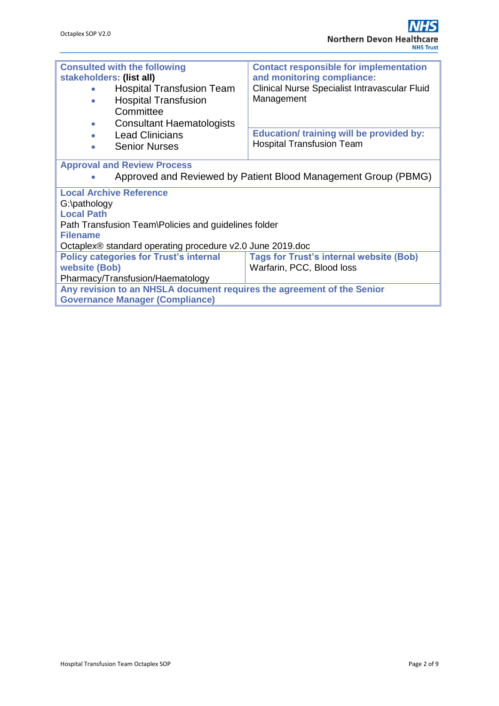| <b>Consulted with the following</b>                                    | <b>Contact responsible for implementation</b>   |  |  |  |  |  |  |
|------------------------------------------------------------------------|-------------------------------------------------|--|--|--|--|--|--|
| stakeholders: (list all)                                               | and monitoring compliance:                      |  |  |  |  |  |  |
| <b>Hospital Transfusion Team</b>                                       | Clinical Nurse Specialist Intravascular Fluid   |  |  |  |  |  |  |
| <b>Hospital Transfusion</b><br>$\bullet$                               | Management                                      |  |  |  |  |  |  |
| Committee                                                              |                                                 |  |  |  |  |  |  |
| <b>Consultant Haematologists</b><br>$\bullet$                          |                                                 |  |  |  |  |  |  |
| <b>Lead Clinicians</b>                                                 | <b>Education/ training will be provided by:</b> |  |  |  |  |  |  |
|                                                                        | <b>Hospital Transfusion Team</b>                |  |  |  |  |  |  |
| <b>Senior Nurses</b><br>$\bullet$                                      |                                                 |  |  |  |  |  |  |
| <b>Approval and Review Process</b>                                     |                                                 |  |  |  |  |  |  |
|                                                                        |                                                 |  |  |  |  |  |  |
| Approved and Reviewed by Patient Blood Management Group (PBMG)         |                                                 |  |  |  |  |  |  |
| <b>Local Archive Reference</b>                                         |                                                 |  |  |  |  |  |  |
| G:\pathology                                                           |                                                 |  |  |  |  |  |  |
| <b>Local Path</b>                                                      |                                                 |  |  |  |  |  |  |
| Path Transfusion Team\Policies and guidelines folder                   |                                                 |  |  |  |  |  |  |
| <b>Filename</b>                                                        |                                                 |  |  |  |  |  |  |
| Octaplex® standard operating procedure v2.0 June 2019.doc              |                                                 |  |  |  |  |  |  |
| <b>Policy categories for Trust's internal</b>                          | <b>Tags for Trust's internal website (Bob)</b>  |  |  |  |  |  |  |
| website (Bob)                                                          | Warfarin, PCC, Blood loss                       |  |  |  |  |  |  |
| Pharmacy/Transfusion/Haematology                                       |                                                 |  |  |  |  |  |  |
|                                                                        |                                                 |  |  |  |  |  |  |
| Any revision to an NHSLA document requires the agreement of the Senior |                                                 |  |  |  |  |  |  |
| <b>Governance Manager (Compliance)</b>                                 |                                                 |  |  |  |  |  |  |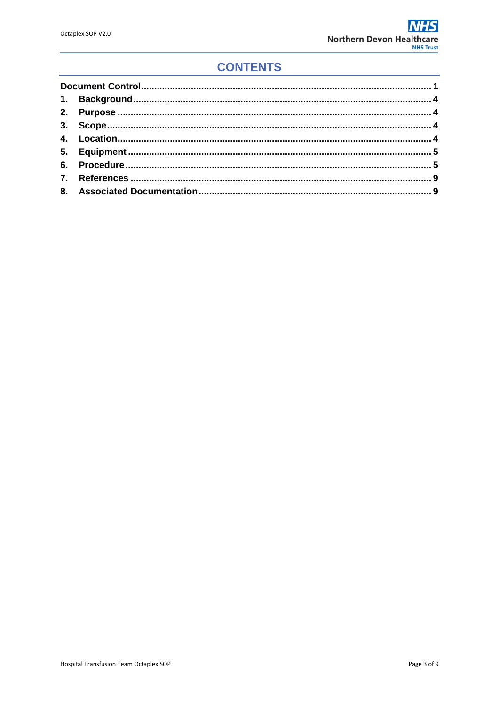## **CONTENTS**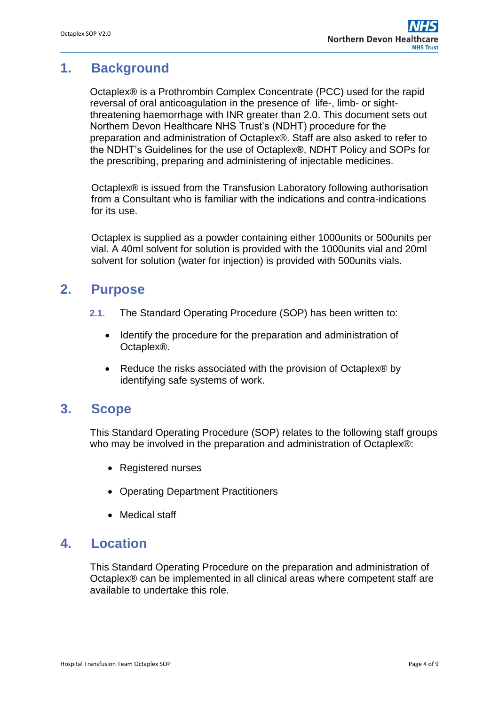### <span id="page-3-0"></span>**1. Background**

Octaplex® is a Prothrombin Complex Concentrate (PCC) used for the rapid reversal of oral anticoagulation in the presence of life-, limb- or sightthreatening haemorrhage with INR greater than 2.0. This document sets out Northern Devon Healthcare NHS Trust's (NDHT) procedure for the preparation and administration of Octaplex®. Staff are also asked to refer to the NDHT's Guidelines for the use of Octaplex**®**, NDHT Policy and SOPs for the prescribing, preparing and administering of injectable medicines.

Octaplex® is issued from the Transfusion Laboratory following authorisation from a Consultant who is familiar with the indications and contra-indications for its use.

Octaplex is supplied as a powder containing either 1000units or 500units per vial. A 40ml solvent for solution is provided with the 1000units vial and 20ml solvent for solution (water for injection) is provided with 500units vials.

### <span id="page-3-1"></span>**2. Purpose**

- **2.1.** The Standard Operating Procedure (SOP) has been written to:
	- Identify the procedure for the preparation and administration of Octaplex®.
	- Reduce the risks associated with the provision of Octaplex<sup>®</sup> by identifying safe systems of work.

#### <span id="page-3-2"></span>**3. Scope**

This Standard Operating Procedure (SOP) relates to the following staff groups who may be involved in the preparation and administration of Octaplex®:

- Registered nurses
- Operating Department Practitioners
- Medical staff

### <span id="page-3-3"></span>**4. Location**

This Standard Operating Procedure on the preparation and administration of Octaplex® can be implemented in all clinical areas where competent staff are available to undertake this role.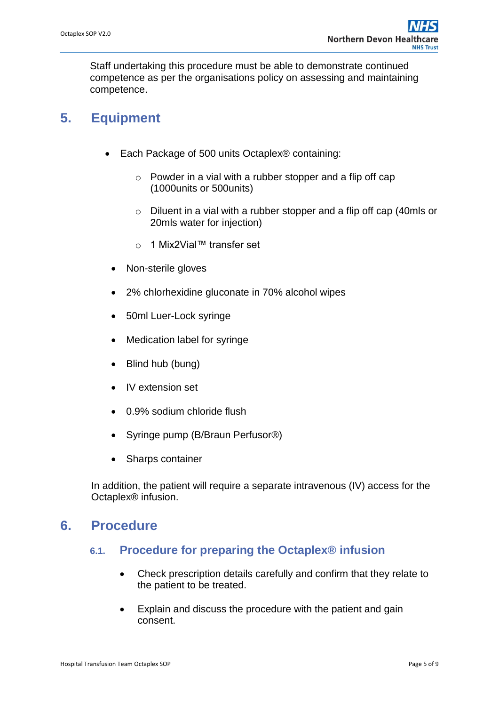Staff undertaking this procedure must be able to demonstrate continued competence as per the organisations policy on assessing and maintaining competence.

### <span id="page-4-0"></span>**5. Equipment**

- Each Package of 500 units Octaplex® containing:
	- $\circ$  Powder in a vial with a rubber stopper and a flip off cap (1000units or 500units)
	- o Diluent in a vial with a rubber stopper and a flip off cap (40mls or 20mls water for injection)
	- o 1 Mix2Vial™ transfer set
	- Non-sterile gloves
	- 2% chlorhexidine gluconate in 70% alcohol wipes
	- 50ml Luer-Lock syringe
	- Medication label for syringe
	- Blind hub (bung)
	- IV extension set
	- 0.9% sodium chloride flush
	- Syringe pump (B/Braun Perfusor®)
	- Sharps container

In addition, the patient will require a separate intravenous (IV) access for the Octaplex® infusion.

#### <span id="page-4-1"></span>**6. Procedure**

#### **6.1. Procedure for preparing the Octaplex® infusion**

- Check prescription details carefully and confirm that they relate to the patient to be treated.
- Explain and discuss the procedure with the patient and gain consent.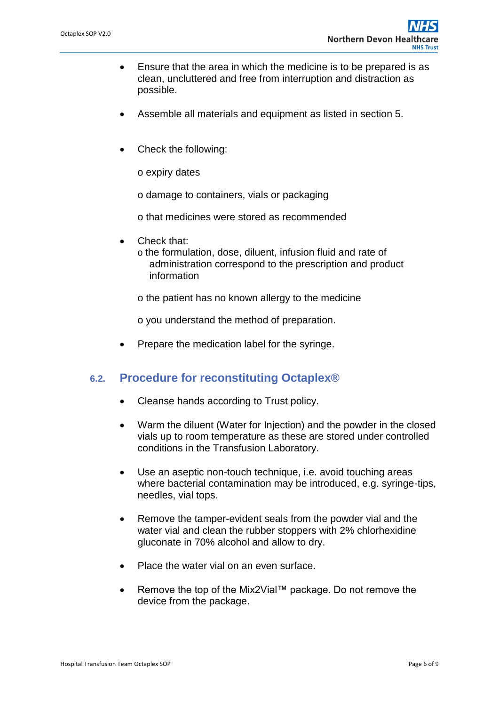- Ensure that the area in which the medicine is to be prepared is as clean, uncluttered and free from interruption and distraction as possible.
- Assemble all materials and equipment as listed in section 5.
- Check the following:

o expiry dates

o damage to containers, vials or packaging

o that medicines were stored as recommended

- Check that:
	- o the formulation, dose, diluent, infusion fluid and rate of administration correspond to the prescription and product information

o the patient has no known allergy to the medicine

o you understand the method of preparation.

• Prepare the medication label for the syringe.

#### **6.2. Procedure for reconstituting Octaplex®**

- Cleanse hands according to Trust policy.
- Warm the diluent (Water for Injection) and the powder in the closed vials up to room temperature as these are stored under controlled conditions in the Transfusion Laboratory.
- Use an aseptic non-touch technique, i.e. avoid touching areas where bacterial contamination may be introduced, e.g. syringe-tips, needles, vial tops.
- Remove the tamper-evident seals from the powder vial and the water vial and clean the rubber stoppers with 2% chlorhexidine gluconate in 70% alcohol and allow to dry.
- Place the water vial on an even surface.
- Remove the top of the Mix2Vial™ package. Do not remove the device from the package.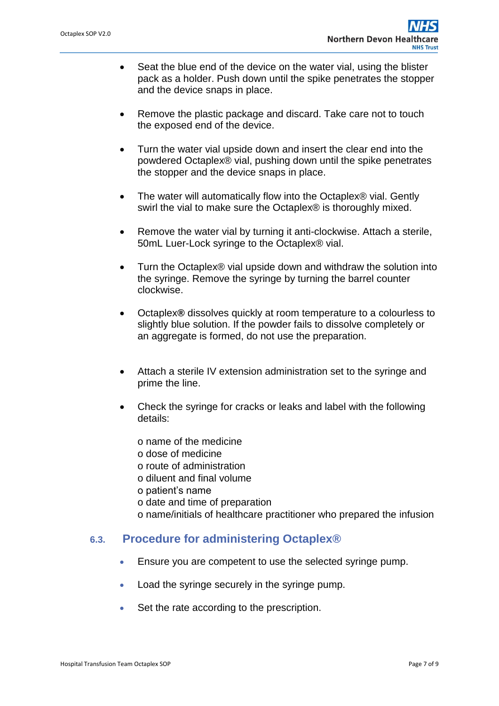- Seat the blue end of the device on the water vial, using the blister pack as a holder. Push down until the spike penetrates the stopper and the device snaps in place.
- Remove the plastic package and discard. Take care not to touch the exposed end of the device.
- Turn the water vial upside down and insert the clear end into the powdered Octaplex® vial, pushing down until the spike penetrates the stopper and the device snaps in place.
- The water will automatically flow into the Octaplex® vial. Gently swirl the vial to make sure the Octaplex® is thoroughly mixed.
- Remove the water vial by turning it anti-clockwise. Attach a sterile, 50mL Luer-Lock syringe to the Octaplex® vial.
- Turn the Octaplex® vial upside down and withdraw the solution into the syringe. Remove the syringe by turning the barrel counter clockwise.
- Octaplex**®** dissolves quickly at room temperature to a colourless to slightly blue solution. If the powder fails to dissolve completely or an aggregate is formed, do not use the preparation.
- Attach a sterile IV extension administration set to the syringe and prime the line.
- Check the syringe for cracks or leaks and label with the following details:
	- o name of the medicine
	- o dose of medicine
	- o route of administration
	- o diluent and final volume
	- o patient's name
	- o date and time of preparation
	- o name/initials of healthcare practitioner who prepared the infusion

#### **6.3. Procedure for administering Octaplex®**

- Ensure you are competent to use the selected syringe pump.
- Load the syringe securely in the syringe pump.
- Set the rate according to the prescription.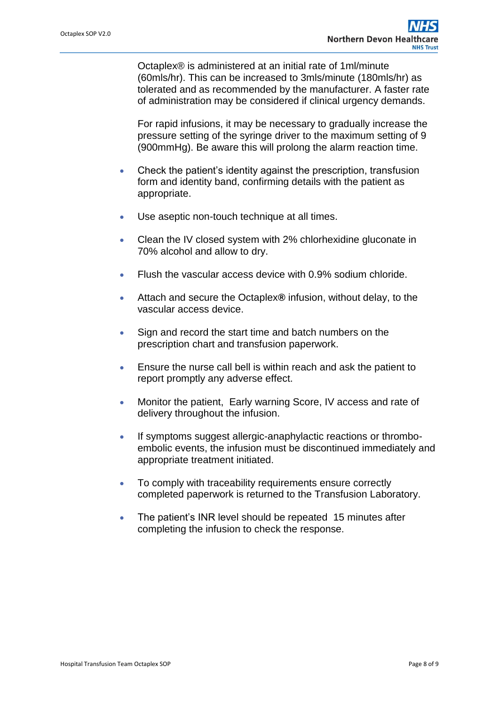Octaplex® is administered at an initial rate of 1ml/minute (60mls/hr). This can be increased to 3mls/minute (180mls/hr) as tolerated and as recommended by the manufacturer. A faster rate of administration may be considered if clinical urgency demands.

For rapid infusions, it may be necessary to gradually increase the pressure setting of the syringe driver to the maximum setting of 9 (900mmHg). Be aware this will prolong the alarm reaction time.

- Check the patient's identity against the prescription, transfusion form and identity band, confirming details with the patient as appropriate.
- Use aseptic non-touch technique at all times.
- Clean the IV closed system with 2% chlorhexidine gluconate in 70% alcohol and allow to dry.
- Flush the vascular access device with 0.9% sodium chloride.
- Attach and secure the Octaplex**®** infusion, without delay, to the vascular access device.
- Sign and record the start time and batch numbers on the prescription chart and transfusion paperwork.
- Ensure the nurse call bell is within reach and ask the patient to report promptly any adverse effect.
- Monitor the patient, Early warning Score, IV access and rate of delivery throughout the infusion.
- If symptoms suggest allergic-anaphylactic reactions or thromboembolic events, the infusion must be discontinued immediately and appropriate treatment initiated.
- To comply with traceability requirements ensure correctly completed paperwork is returned to the Transfusion Laboratory.
- The patient's INR level should be repeated 15 minutes after completing the infusion to check the response.